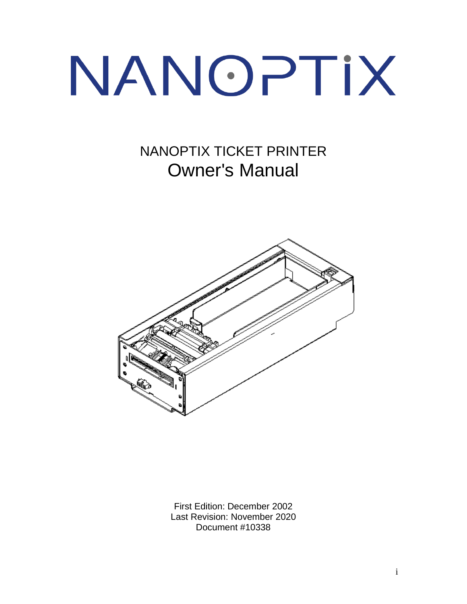# NANOPTIX

# NANOPTIX TICKET PRINTER Owner's Manual



First Edition: December 2002 Last Revision: November 2020 Document #10338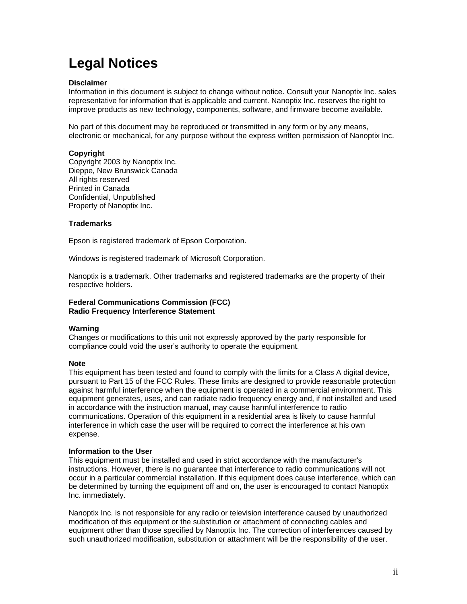# **Legal Notices**

#### **Disclaimer**

Information in this document is subject to change without notice. Consult your Nanoptix Inc. sales representative for information that is applicable and current. Nanoptix Inc. reserves the right to improve products as new technology, components, software, and firmware become available.

No part of this document may be reproduced or transmitted in any form or by any means, electronic or mechanical, for any purpose without the express written permission of Nanoptix Inc.

#### **Copyright**

Copyright 2003 by Nanoptix Inc. Dieppe, New Brunswick Canada All rights reserved Printed in Canada Confidential, Unpublished Property of Nanoptix Inc.

#### **Trademarks**

Epson is registered trademark of Epson Corporation.

Windows is registered trademark of Microsoft Corporation.

Nanoptix is a trademark. Other trademarks and registered trademarks are the property of their respective holders.

#### **Federal Communications Commission (FCC) Radio Frequency Interference Statement**

#### **Warning**

Changes or modifications to this unit not expressly approved by the party responsible for compliance could void the user's authority to operate the equipment.

#### **Note**

This equipment has been tested and found to comply with the limits for a Class A digital device, pursuant to Part 15 of the FCC Rules. These limits are designed to provide reasonable protection against harmful interference when the equipment is operated in a commercial environment. This equipment generates, uses, and can radiate radio frequency energy and, if not installed and used in accordance with the instruction manual, may cause harmful interference to radio communications. Operation of this equipment in a residential area is likely to cause harmful interference in which case the user will be required to correct the interference at his own expense.

#### **Information to the User**

This equipment must be installed and used in strict accordance with the manufacturer's instructions. However, there is no guarantee that interference to radio communications will not occur in a particular commercial installation. If this equipment does cause interference, which can be determined by turning the equipment off and on, the user is encouraged to contact Nanoptix Inc. immediately.

Nanoptix Inc. is not responsible for any radio or television interference caused by unauthorized modification of this equipment or the substitution or attachment of connecting cables and equipment other than those specified by Nanoptix Inc. The correction of interferences caused by such unauthorized modification, substitution or attachment will be the responsibility of the user.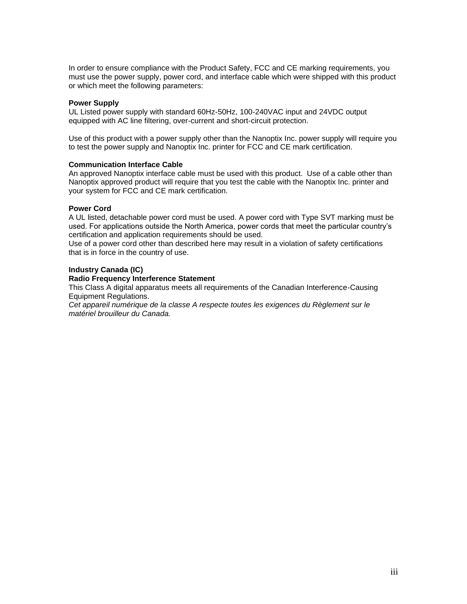In order to ensure compliance with the Product Safety, FCC and CE marking requirements, you must use the power supply, power cord, and interface cable which were shipped with this product or which meet the following parameters:

#### **Power Supply**

UL Listed power supply with standard 60Hz-50Hz, 100-240VAC input and 24VDC output equipped with AC line filtering, over-current and short-circuit protection.

Use of this product with a power supply other than the Nanoptix Inc. power supply will require you to test the power supply and Nanoptix Inc. printer for FCC and CE mark certification.

#### **Communication Interface Cable**

An approved Nanoptix interface cable must be used with this product. Use of a cable other than Nanoptix approved product will require that you test the cable with the Nanoptix Inc. printer and your system for FCC and CE mark certification.

#### **Power Cord**

A UL listed, detachable power cord must be used. A power cord with Type SVT marking must be used. For applications outside the North America, power cords that meet the particular country's certification and application requirements should be used.

Use of a power cord other than described here may result in a violation of safety certifications that is in force in the country of use.

#### **Industry Canada (IC)**

#### **Radio Frequency Interference Statement**

This Class A digital apparatus meets all requirements of the Canadian Interference-Causing Equipment Regulations.

*Cet appareil numérique de la classe A respecte toutes les exigences du Règlement sur le matériel brouilleur du Canada.*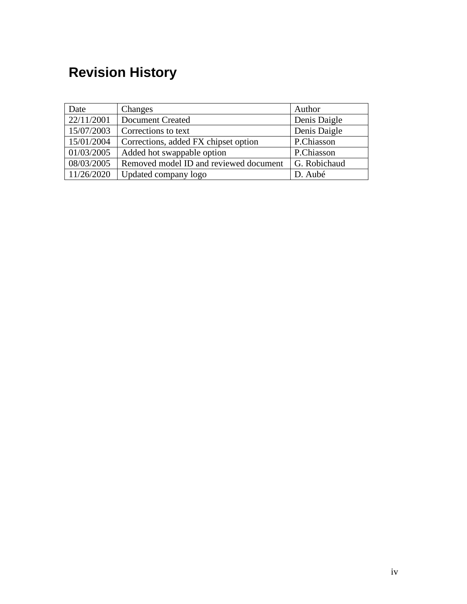# <span id="page-3-0"></span>**Revision History**

| Date       | Changes                                | Author       |
|------------|----------------------------------------|--------------|
| 22/11/2001 | <b>Document Created</b>                | Denis Daigle |
| 15/07/2003 | Corrections to text                    | Denis Daigle |
| 15/01/2004 | Corrections, added FX chipset option   | P.Chiasson   |
| 01/03/2005 | Added hot swappable option             | P.Chiasson   |
| 08/03/2005 | Removed model ID and reviewed document | G. Robichaud |
| 11/26/2020 | Updated company logo                   | D. Aubé      |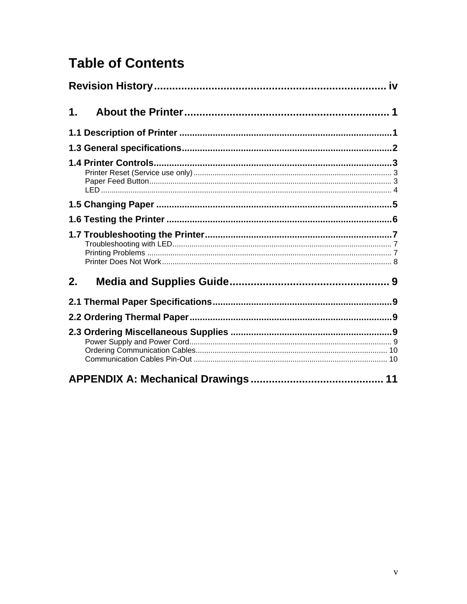# **Table of Contents**

| 1. |  |  |  |
|----|--|--|--|
|    |  |  |  |
|    |  |  |  |
|    |  |  |  |
|    |  |  |  |
|    |  |  |  |
|    |  |  |  |
| 2. |  |  |  |
|    |  |  |  |
|    |  |  |  |
|    |  |  |  |
|    |  |  |  |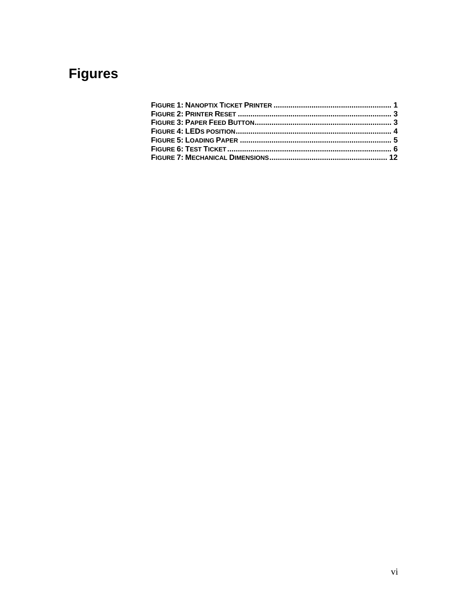# **Figures**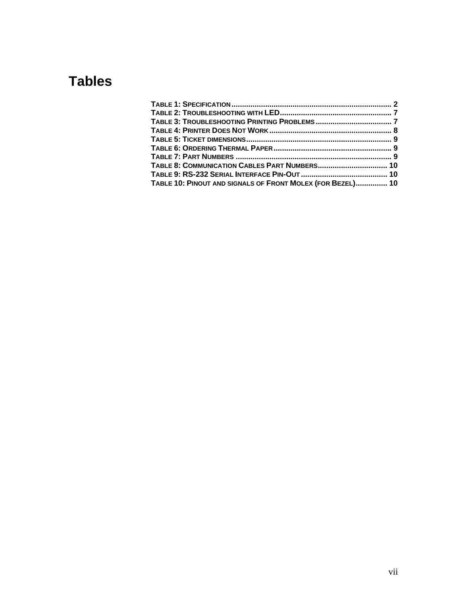# **Tables**

| TABLE 10: PINOUT AND SIGNALS OF FRONT MOLEX (FOR BEZEL) 10 |  |
|------------------------------------------------------------|--|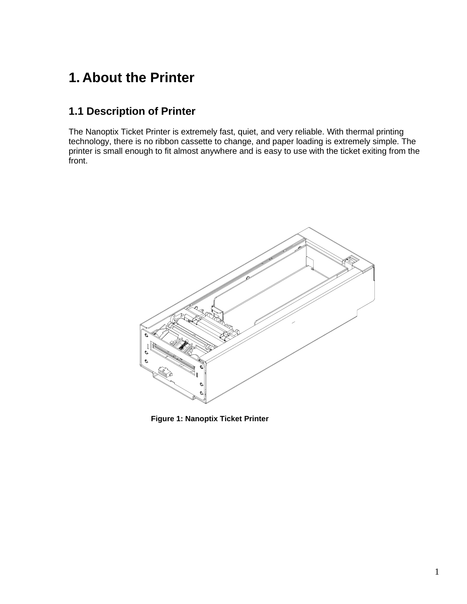# <span id="page-7-0"></span>**1. About the Printer**

# <span id="page-7-1"></span>**1.1 Description of Printer**

The Nanoptix Ticket Printer is extremely fast, quiet, and very reliable. With thermal printing technology, there is no ribbon cassette to change, and paper loading is extremely simple. The printer is small enough to fit almost anywhere and is easy to use with the ticket exiting from the front.

<span id="page-7-2"></span>

**Figure 1: Nanoptix Ticket Printer**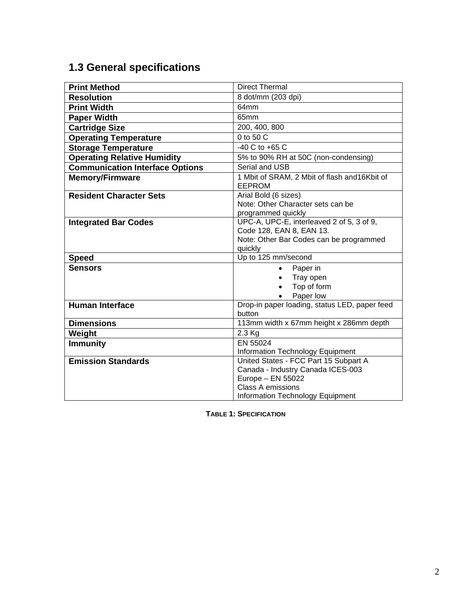# <span id="page-8-0"></span>**1.3 General specifications**

| <b>Print Method</b>                    | <b>Direct Thermal</b>                                                                                                       |  |
|----------------------------------------|-----------------------------------------------------------------------------------------------------------------------------|--|
| <b>Resolution</b>                      | 8 dot/mm (203 dpi)                                                                                                          |  |
| <b>Print Width</b>                     | 64mm                                                                                                                        |  |
| <b>Paper Width</b>                     | 65mm                                                                                                                        |  |
| <b>Cartridge Size</b>                  | 200, 400, 800                                                                                                               |  |
| <b>Operating Temperature</b>           | 0 to 50 C                                                                                                                   |  |
| <b>Storage Temperature</b>             | $-40$ C to $+65$ C                                                                                                          |  |
| <b>Operating Relative Humidity</b>     | 5% to 90% RH at 50C (non-condensing)                                                                                        |  |
| <b>Communication Interface Options</b> | Serial and USB                                                                                                              |  |
| <b>Memory/Firmware</b>                 | 1 Mbit of SRAM, 2 Mbit of flash and 16Kbit of<br><b>EEPROM</b>                                                              |  |
| <b>Resident Character Sets</b>         | Arial Bold (6 sizes)<br>Note: Other Character sets can be<br>programmed quickly                                             |  |
| <b>Integrated Bar Codes</b>            | UPC-A, UPC-E, interleaved 2 of 5, 3 of 9,<br>Code 128, EAN 8, EAN 13.<br>Note: Other Bar Codes can be programmed<br>quickly |  |
| <b>Speed</b>                           | Up to 125 mm/second                                                                                                         |  |
| <b>Sensors</b>                         | Paper in<br>$\bullet$<br>Tray open<br>$\bullet$<br>Top of form<br>Paper low                                                 |  |
| <b>Human Interface</b>                 | Drop-in paper loading, status LED, paper feed<br>button                                                                     |  |
| <b>Dimensions</b>                      | 113mm width x 67mm height x 286mm depth                                                                                     |  |
| Weight                                 | 2.3 Kg                                                                                                                      |  |
| <b>Immunity</b>                        | EN 55024                                                                                                                    |  |
|                                        | Information Technology Equipment                                                                                            |  |
| <b>Emission Standards</b>              | United States - FCC Part 15 Subpart A<br>Canada - Industry Canada ICES-003<br>Europe - EN 55022<br><b>Class A emissions</b> |  |
|                                        | Information Technology Equipment                                                                                            |  |

<span id="page-8-1"></span>**TABLE 1: SPECIFICATION**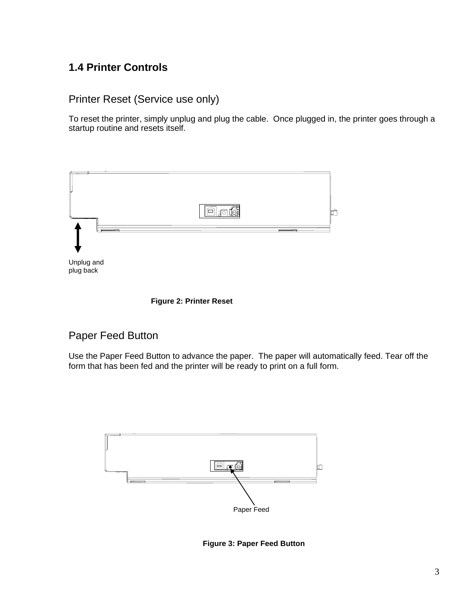## <span id="page-9-0"></span>**1.4 Printer Controls**

```
Printer Reset (Service use only)
```
To reset the printer, simply unplug and plug the cable. Once plugged in, the printer goes through a startup routine and resets itself.





## <span id="page-9-3"></span><span id="page-9-2"></span>Paper Feed Button

Use the Paper Feed Button to advance the paper. The paper will automatically feed. Tear off the form that has been fed and the printer will be ready to print on a full form.

<span id="page-9-4"></span>

**Figure 3: Paper Feed Button**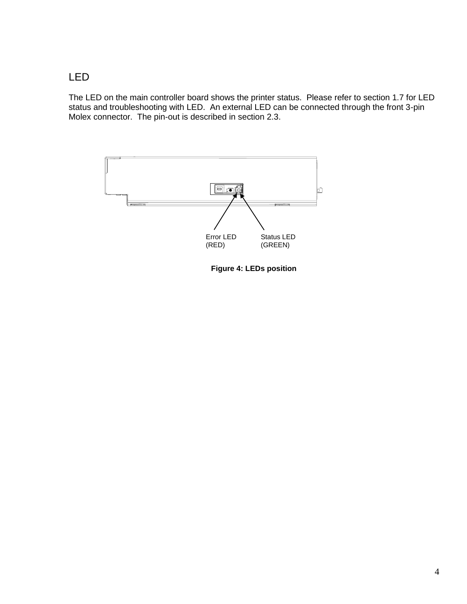## <span id="page-10-0"></span>LED

The LED on the main controller board shows the printer status. Please refer to section 1.7 for LED status and troubleshooting with LED. An external LED can be connected through the front 3-pin Molex connector. The pin-out is described in section 2.3.

<span id="page-10-1"></span>

**Figure 4: LEDs position**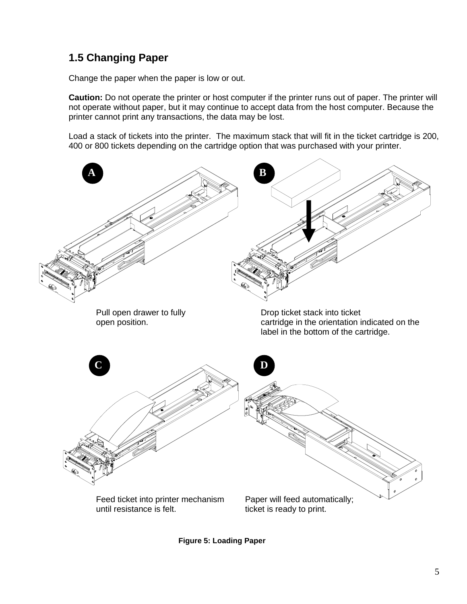# <span id="page-11-0"></span>**1.5 Changing Paper**

Change the paper when the paper is low or out.

**Caution:** Do not operate the printer or host computer if the printer runs out of paper. The printer will not operate without paper, but it may continue to accept data from the host computer. Because the printer cannot print any transactions, the data may be lost.

Load a stack of tickets into the printer. The maximum stack that will fit in the ticket cartridge is 200, 400 or 800 tickets depending on the cartridge option that was purchased with your printer.



<span id="page-11-1"></span>**Figure 5: Loading Paper**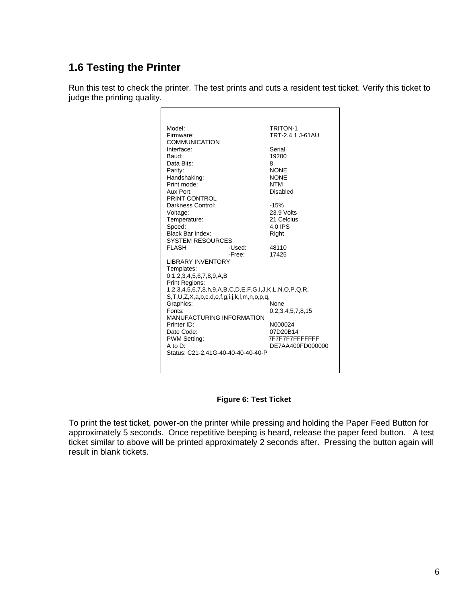# <span id="page-12-0"></span>**1.6 Testing the Printer**

Run this test to check the printer. The test prints and cuts a resident test ticket. Verify this ticket to judge the printing quality.

| Model:                                                           | <b>TRITON-1</b>  |
|------------------------------------------------------------------|------------------|
| Firmware:                                                        | TRT-2.4 1 J-61AU |
| COMMUNICATION                                                    |                  |
| Interface:                                                       | Serial           |
| Baud:                                                            | 19200            |
| Data Bits:                                                       | 8                |
| Parity:                                                          | <b>NONE</b>      |
| Handshaking:                                                     | <b>NONE</b>      |
| Print mode:                                                      | <b>NTM</b>       |
| Aux Port:                                                        | Disabled         |
| PRINT CONTROL                                                    |                  |
| Darkness Control:                                                | $-15%$           |
| Voltage:                                                         | 23.9 Volts       |
| Temperature:                                                     | 21 Celcius       |
| Speed:                                                           | 4.0 IPS          |
| <b>Black Bar Index:</b>                                          | Right            |
| <b>SYSTEM RESOURCES</b>                                          |                  |
| <b>FLASH</b><br>-Used:<br>-Free:                                 | 48110<br>17425   |
| <b>I IBRARY INVENTORY</b>                                        |                  |
| Templates:                                                       |                  |
| 0,1,2,3,4,5,6,7,8,9,A,B                                          |                  |
| Print Regions:                                                   |                  |
| 1,2,3,4,5,6,7,8,h,9,A,B,C,D,E,F,G,I,J,K,L,N,O,P,Q,R,             |                  |
| $S, T, U, Z, X, a, b, c, d, e, f, g, i, j, k, l, m, n, o, p, q,$ |                  |
| Graphics:                                                        | None             |
| Fonts:                                                           | 0,2,3,4,5,7,8,15 |
| <b>MANUFACTURING INFORMATION</b>                                 |                  |
| Printer ID:                                                      | N000024          |
| Date Code:                                                       | 07D20B14         |
| <b>PWM Setting:</b>                                              | 7F7F7F7FFFFFFF   |
| $A$ to $D$ :<br>Status: C21-2.41G-40-40-40-40-40-P               | DE7AA400FD000000 |
|                                                                  |                  |
|                                                                  |                  |

### **Figure 6: Test Ticket**

<span id="page-12-1"></span>To print the test ticket, power-on the printer while pressing and holding the Paper Feed Button for approximately 5 seconds. Once repetitive beeping is heard, release the paper feed button. A test ticket similar to above will be printed approximately 2 seconds after. Pressing the button again will result in blank tickets.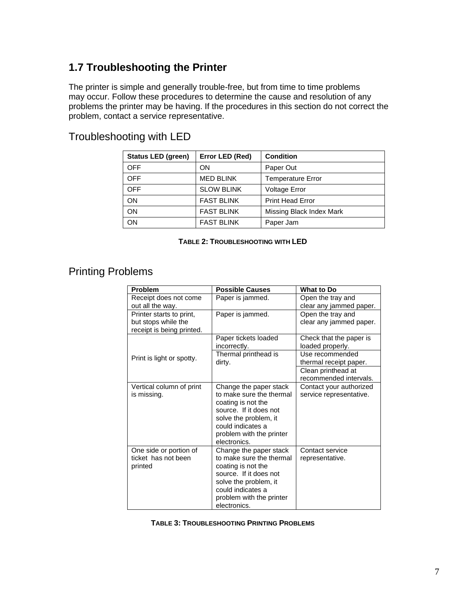## <span id="page-13-0"></span>**1.7 Troubleshooting the Printer**

The printer is simple and generally trouble-free, but from time to time problems may occur. Follow these procedures to determine the cause and resolution of any problems the printer may be having. If the procedures in this section do not correct the problem, contact a service representative.

## <span id="page-13-1"></span>Troubleshooting with LED

| <b>Status LED (green)</b> | Error LED (Red)   | <b>Condition</b>         |
|---------------------------|-------------------|--------------------------|
| <b>OFF</b>                | ON                | Paper Out                |
| <b>OFF</b>                | <b>MED BLINK</b>  | <b>Temperature Error</b> |
| <b>OFF</b>                | <b>SLOW BLINK</b> | <b>Voltage Error</b>     |
| ON                        | <b>FAST BLINK</b> | <b>Print Head Error</b>  |
| ON                        | <b>FAST BLINK</b> | Missing Black Index Mark |
| ON                        | <b>FAST BLINK</b> | Paper Jam                |

#### **TABLE 2: TROUBLESHOOTING WITH LED**

## <span id="page-13-3"></span><span id="page-13-2"></span>Printing Problems

| Problem                                                                      | <b>Possible Causes</b>                                                                                                                                                                       | <b>What to Do</b>                                  |
|------------------------------------------------------------------------------|----------------------------------------------------------------------------------------------------------------------------------------------------------------------------------------------|----------------------------------------------------|
| Receipt does not come<br>out all the way.                                    | Paper is jammed.                                                                                                                                                                             | Open the tray and<br>clear any jammed paper.       |
| Printer starts to print,<br>but stops while the<br>receipt is being printed. | Paper is jammed.                                                                                                                                                                             | Open the tray and<br>clear any jammed paper.       |
|                                                                              | Paper tickets loaded<br>incorrectly.                                                                                                                                                         | Check that the paper is<br>loaded properly.        |
| Print is light or spotty.                                                    | Thermal printhead is<br>dirty.                                                                                                                                                               | Use recommended<br>thermal receipt paper.          |
|                                                                              |                                                                                                                                                                                              | Clean printhead at<br>recommended intervals.       |
| Vertical column of print<br>is missing.                                      | Change the paper stack<br>to make sure the thermal<br>coating is not the<br>source. If it does not<br>solve the problem, it<br>could indicates a<br>problem with the printer<br>electronics. | Contact your authorized<br>service representative. |
| One side or portion of<br>ticket has not been<br>printed                     | Change the paper stack<br>to make sure the thermal<br>coating is not the<br>source. If it does not<br>solve the problem, it<br>could indicates a<br>problem with the printer<br>electronics. | Contact service<br>representative.                 |

<span id="page-13-4"></span>**TABLE 3: TROUBLESHOOTING PRINTING PROBLEMS**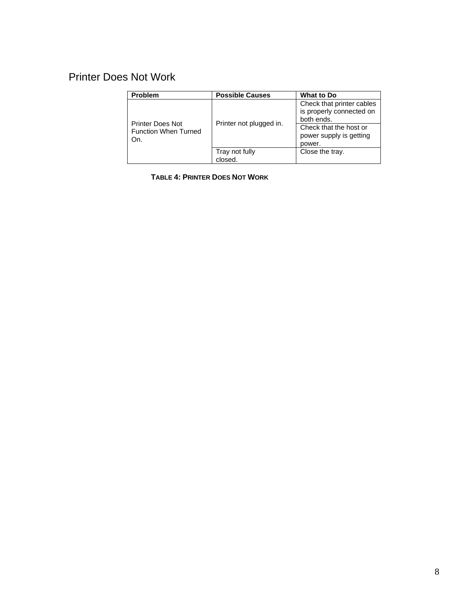# <span id="page-14-0"></span>Printer Does Not Work

| <b>Problem</b>                                                | <b>Possible Causes</b>    | <b>What to Do</b>                                                                                                                  |
|---------------------------------------------------------------|---------------------------|------------------------------------------------------------------------------------------------------------------------------------|
| <b>Printer Does Not</b><br><b>Function When Turned</b><br>On. | Printer not plugged in.   | Check that printer cables<br>is properly connected on<br>both ends.<br>Check that the host or<br>power supply is getting<br>power. |
|                                                               | Tray not fully<br>closed. | Close the tray.                                                                                                                    |

<span id="page-14-1"></span>**TABLE 4: PRINTER DOES NOT WORK**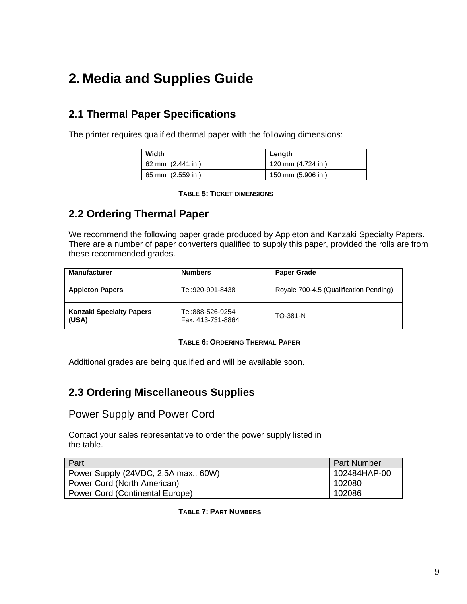# <span id="page-15-0"></span>**2. Media and Supplies Guide**

# <span id="page-15-1"></span>**2.1 Thermal Paper Specifications**

The printer requires qualified thermal paper with the following dimensions:

| Width               | Lenath             |  |
|---------------------|--------------------|--|
| 62 mm $(2.441$ in.) | 120 mm (4.724 in.) |  |
| 65 mm (2.559 in.)   | 150 mm (5.906 in.) |  |

#### **TABLE 5: TICKET DIMENSIONS**

# <span id="page-15-5"></span><span id="page-15-2"></span>**2.2 Ordering Thermal Paper**

We recommend the following paper grade produced by Appleton and Kanzaki Specialty Papers. There are a number of paper converters qualified to supply this paper, provided the rolls are from these recommended grades.

| <b>Manufacturer</b>                      | <b>Numbers</b>                        | <b>Paper Grade</b>                     |
|------------------------------------------|---------------------------------------|----------------------------------------|
| <b>Appleton Papers</b>                   | Tel:920-991-8438                      | Royale 700-4.5 (Qualification Pending) |
| <b>Kanzaki Specialty Papers</b><br>(USA) | Tel:888-526-9254<br>Fax: 413-731-8864 | TO-381-N                               |

#### **TABLE 6: ORDERING THERMAL PAPER**

<span id="page-15-6"></span>Additional grades are being qualified and will be available soon.

# <span id="page-15-3"></span>**2.3 Ordering Miscellaneous Supplies**

## <span id="page-15-4"></span>Power Supply and Power Cord

Contact your sales representative to order the power supply listed in the table.

<span id="page-15-7"></span>

| Part                                   | <b>Part Number</b> |
|----------------------------------------|--------------------|
| Power Supply (24VDC, 2.5A max., 60W)   | 102484HAP-00       |
| Power Cord (North American)            | 102080             |
| <b>Power Cord (Continental Europe)</b> | 102086             |

**TABLE 7: PART NUMBERS**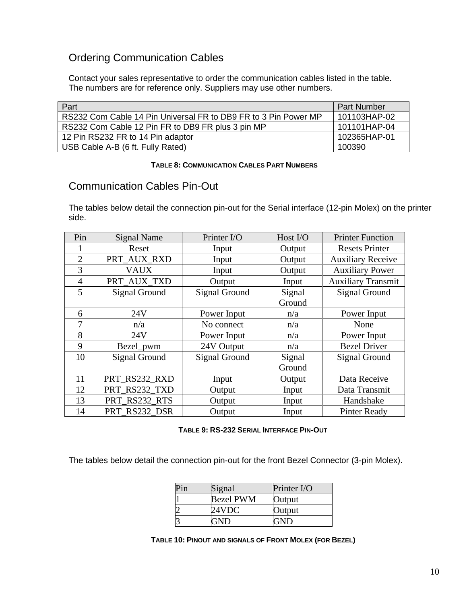## <span id="page-16-0"></span>Ordering Communication Cables

Contact your sales representative to order the communication cables listed in the table. The numbers are for reference only. Suppliers may use other numbers.

| Part                                                            | <b>Part Number</b> |
|-----------------------------------------------------------------|--------------------|
| RS232 Com Cable 14 Pin Universal FR to DB9 FR to 3 Pin Power MP | 101103HAP-02       |
| RS232 Com Cable 12 Pin FR to DB9 FR plus 3 pin MP               | 101101HAP-04       |
| 12 Pin RS232 FR to 14 Pin adaptor                               | 102365HAP-01       |
| USB Cable A-B (6 ft. Fully Rated)                               | 100390             |

#### **TABLE 8: COMMUNICATION CABLES PART NUMBERS**

## <span id="page-16-2"></span><span id="page-16-1"></span>Communication Cables Pin-Out

The tables below detail the connection pin-out for the Serial interface (12-pin Molex) on the printer side.

| Pin            | <b>Signal Name</b> | Printer I/O          | Host $IO$ | <b>Printer Function</b>   |
|----------------|--------------------|----------------------|-----------|---------------------------|
|                | Reset              | Input                | Output    | <b>Resets Printer</b>     |
| $\overline{2}$ | PRT_AUX_RXD        | Input                | Output    | <b>Auxiliary Receive</b>  |
| 3              | <b>VAUX</b>        | Input                | Output    | <b>Auxiliary Power</b>    |
| $\overline{4}$ | PRT_AUX_TXD        | Output               | Input     | <b>Auxiliary Transmit</b> |
| 5              | Signal Ground      | <b>Signal Ground</b> | Signal    | <b>Signal Ground</b>      |
|                |                    |                      | Ground    |                           |
| 6              | 24V                | Power Input          | n/a       | Power Input               |
| 7              | n/a                | No connect           | n/a       | None                      |
| 8              | 24V                | Power Input          | n/a       | Power Input               |
| 9              | Bezel_pwm          | 24V Output           | n/a       | <b>Bezel Driver</b>       |
| 10             | Signal Ground      | <b>Signal Ground</b> | Signal    | <b>Signal Ground</b>      |
|                |                    |                      | Ground    |                           |
| 11             | PRT RS232 RXD      | Input                | Output    | Data Receive              |
| 12             | PRT_RS232_TXD      | Output               | Input     | Data Transmit             |
| 13             | PRT_RS232_RTS      | Output               | Input     | Handshake                 |
| 14             | PRT RS232 DSR      | Output               | Input     | <b>Pinter Ready</b>       |

**TABLE 9: RS-232 SERIAL INTERFACE PIN-OUT**

<span id="page-16-4"></span><span id="page-16-3"></span>The tables below detail the connection pin-out for the front Bezel Connector (3-pin Molex).

| Signal           | Printer I/O |
|------------------|-------------|
| <b>Bezel PWM</b> | Output      |
| 24VDC            | Output      |
|                  | ЛD          |

**TABLE 10: PINOUT AND SIGNALS OF FRONT MOLEX (FOR BEZEL)**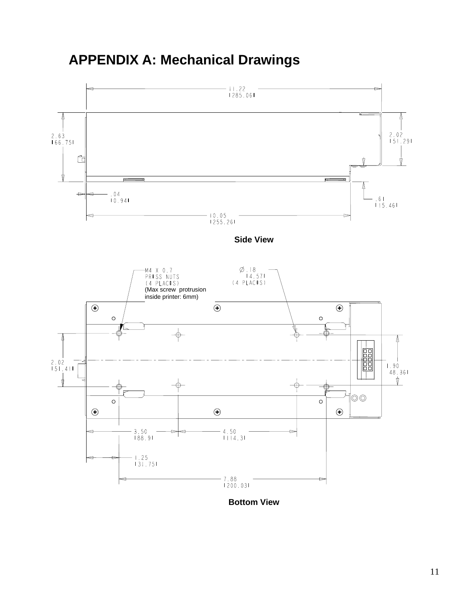# <span id="page-17-0"></span>**APPENDIX A: Mechanical Drawings**



**Bottom View**